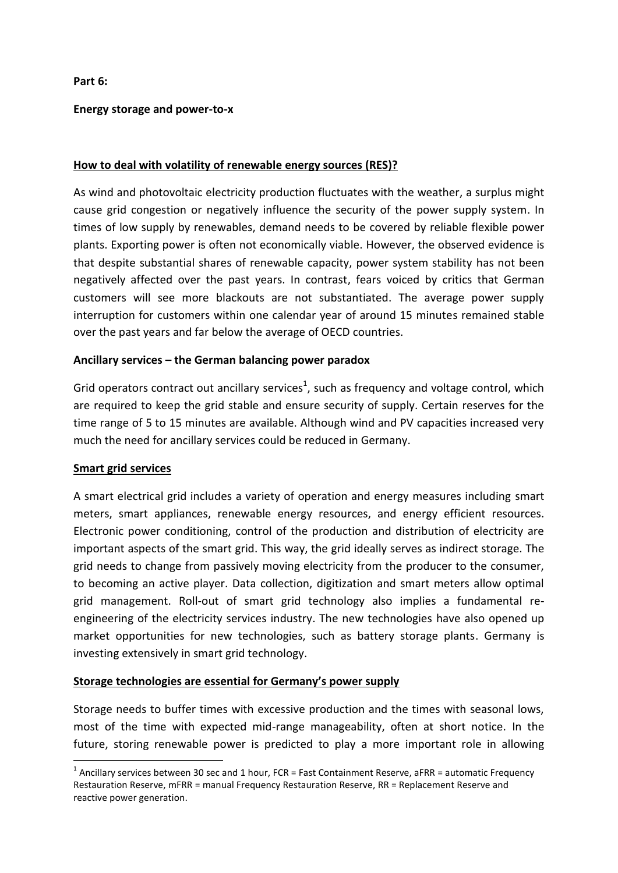**Part 6:** 

### **Energy storage and power-to-x**

### **How to deal with volatility of renewable energy sources (RES)?**

As wind and photovoltaic electricity production [fluctuates with the weather,](https://www.cleanenergywire.org/factsheets/volatile-predictable-forecasting-renewable-power-generation) a surplus might cause grid congestion or negatively influence the security of the power supply system. In times of low supply by renewables, demand needs to be covered by reliable flexible power plants. Exporting power is often not economically viable. However, the observed evidence is that despite substantial shares of renewable capacity, power system stability has not been negatively affected over the past years. In contrast, fears voiced by critics that German customers will see more blackouts are not substantiated. The average power supply interruption for customers within one calendar year of around 15 minutes remained stable over the past years and far below the average of OECD countries.

# **Ancillary services – the German balancing power paradox**

Grid operators contract out ancillary services<sup>1</sup>, such as frequency and voltage control, which are required to keep the grid stable and ensure security of supply. Certain reserves for the time range of 5 to 15 minutes are available. Although wind and PV capacities increased very much the need for ancillary services could be reduced in Germany.

# **Smart grid services**

**.** 

A smart electrical grid includes a variety of operation and energy measures including [smart](https://en.wikipedia.org/wiki/Smart_meter)  [meters,](https://en.wikipedia.org/wiki/Smart_meter) [smart appliances,](https://en.wikipedia.org/wiki/Smart_appliance) [renewable energy](https://en.wikipedia.org/wiki/Renewable_energy) resources, and energy efficient resources. Electronic power conditioning, control of the production and distribution of electricity are important aspects of the smart grid. This way, the grid ideally serves as indirect storage. The grid needs to change from passively moving electricity from the producer to the consumer, to becoming an active player. Data collection, digitization and smart meters allow optimal grid management. Roll-out of smart grid technology also implies a fundamental reengineering of the electricity services industry. The new technologies have also opened up market opportunities for new technologies, such as battery storage plants. Germany is investing extensively in smart grid technology.

#### **Storage technologies are essential for Germany's power supply**

Storage needs to buffer times with excessive production and the times with seasonal lows, most of the time with expected mid-range manageability, often at short notice. In the future, storing renewable power is predicted to play a more important role in allowing

<sup>&</sup>lt;sup>1</sup> Ancillary services between 30 sec and 1 hour, FCR = Fast Containment Reserve, aFRR = automatic Frequency Restauration Reserve, mFRR = manual Frequency Restauration Reserve, RR = Replacement Reserve and reactive power generation.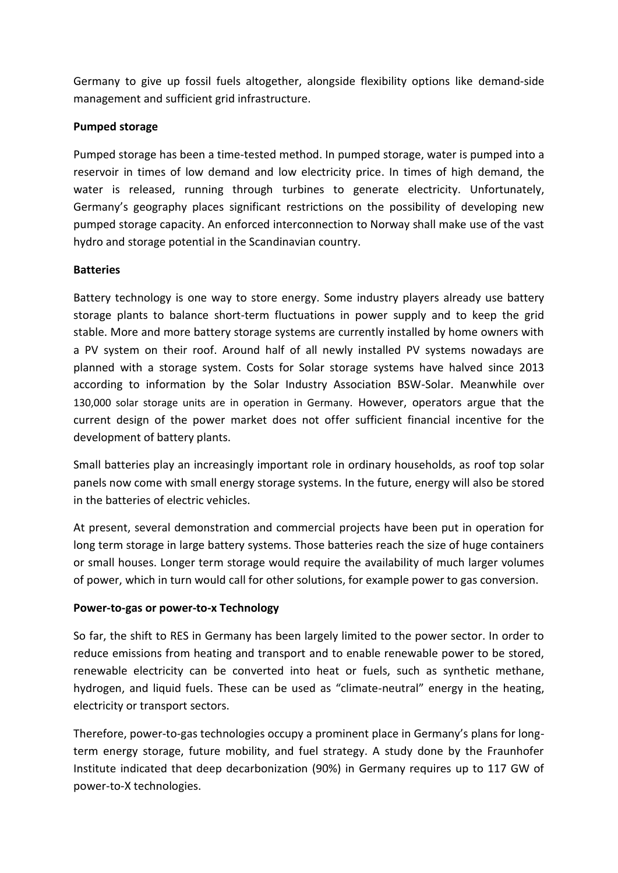Germany to give up fossil fuels altogether, alongside flexibility options like [demand-side](https://www.cleanenergywire.org/glossary/letter_d#demand-side_management)  [management](https://www.cleanenergywire.org/glossary/letter_d#demand-side_management) and sufficient grid infrastructure.

# **Pumped storage**

Pumped storage has been a time-tested method. In pumped storage, water is pumped into a reservoir in times of low demand and low electricity price. In times of high demand, the water is released, running through turbines to generate electricity. Unfortunately, Germany's geography places significant restrictions on the possibility of developing new pumped storage capacity. An enforced interconnection to Norway shall make use of the vast hydro and storage potential in the Scandinavian country.

# **Batteries**

Battery technology is one way to store energy. Some industry players already use battery [storage](https://www.cleanenergywire.org/glossary/letter_s#storage) plants to balance short-term fluctuations in power supply and to keep the grid stable. More and more battery storage systems are currently installed by home owners with a PV system on their roof. Around half of all newly installed PV systems nowadays are planned with a storage system. Costs for Solar storage systems have halved since 2013 according to information by the Solar Industry Association BSW-Solar. Meanwhile over 130,000 solar storage units are in operation in Germany. However, operators argue that the current design of the power market does not offer sufficient financial incentive for the development of battery plants.

Small batteries play an increasingly important role in ordinary households, as roof top solar panels now come with small energy storage systems. In the future, energy will also be stored in the batteries of electric vehicles.

At present, several demonstration and commercial projects have been put in operation for long term storage in large battery systems. Those batteries reach the size of huge containers or small houses. Longer term [storage](https://www.cleanenergywire.org/glossary/letter_s#storage) would require the availability of much larger volumes of power, which in turn would call for other solutions, for example power to gas conversion.

# **Power-to-gas or power-to-x Technology**

So far, the shift to RES in Germany has been largely limited to the power sector. In order to reduce emissions from heating and transport and to enable renewable power to be stored, renewable electricity can be converted into heat or [fuels, such as synthetic methane,](https://www.cleanenergywire.org/factsheets/technologies-energiewende)  [hydrogen, and liquid fuels](https://www.cleanenergywire.org/factsheets/technologies-energiewende). These can be used as "climate-neutral" energy in the heating, electricity or transport sectors.

Therefore, power-to-gas technologies occupy a prominent place in Germany's plans for longterm energy storage, future mobility, and fuel strategy. A study done by the Fraunhofer Institute indicated that deep decarbonization (90%) in Germany requires up to 117 GW of power-to-X technologies.